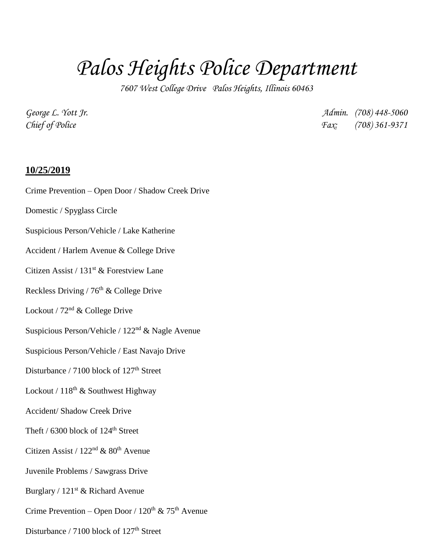## *Palos Heights Police Department*

*7607 West College Drive Palos Heights, Illinois 60463*

*George L. Yott Jr. Admin. (708) 448-5060 Chief of Police Fax: (708) 361-9371*

## **10/25/2019**

- Crime Prevention Open Door / Shadow Creek Drive
- Domestic / Spyglass Circle
- Suspicious Person/Vehicle / Lake Katherine
- Accident / Harlem Avenue & College Drive
- Citizen Assist / 131st & Forestview Lane
- Reckless Driving / 76<sup>th</sup> & College Drive
- Lockout /  $72<sup>nd</sup>$  & College Drive
- Suspicious Person/Vehicle / 122nd & Nagle Avenue
- Suspicious Person/Vehicle / East Navajo Drive
- Disturbance / 7100 block of 127<sup>th</sup> Street
- Lockout /  $118^{th}$  & Southwest Highway
- Accident/ Shadow Creek Drive
- Theft / 6300 block of 124<sup>th</sup> Street
- Citizen Assist /  $122<sup>nd</sup>$  &  $80<sup>th</sup>$  Avenue
- Juvenile Problems / Sawgrass Drive
- Burglary / 121<sup>st</sup> & Richard Avenue
- Crime Prevention Open Door /  $120^{th}$  &  $75^{th}$  Avenue
- Disturbance / 7100 block of 127<sup>th</sup> Street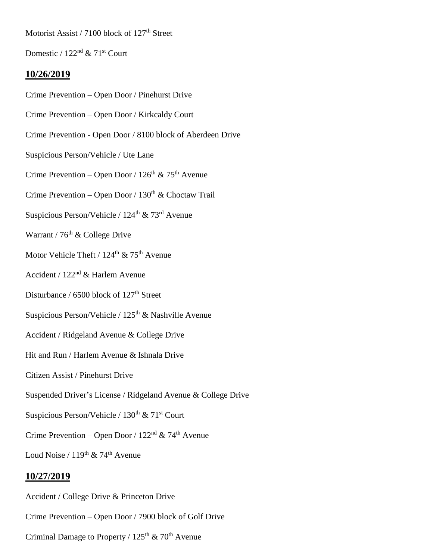Motorist Assist / 7100 block of 127<sup>th</sup> Street

Domestic /  $122<sup>nd</sup>$  &  $71<sup>st</sup>$  Court

## **10/26/2019**

- Crime Prevention Open Door / Pinehurst Drive
- Crime Prevention Open Door / Kirkcaldy Court
- Crime Prevention Open Door / 8100 block of Aberdeen Drive
- Suspicious Person/Vehicle / Ute Lane
- Crime Prevention Open Door /  $126<sup>th</sup>$  &  $75<sup>th</sup>$  Avenue
- Crime Prevention Open Door /  $130<sup>th</sup>$  & Choctaw Trail
- Suspicious Person/Vehicle /  $124<sup>th</sup>$  &  $73<sup>rd</sup>$  Avenue
- Warrant /  $76<sup>th</sup>$  & College Drive
- Motor Vehicle Theft /  $124^{\text{th}}$  &  $75^{\text{th}}$  Avenue
- Accident / 122nd & Harlem Avenue
- Disturbance / 6500 block of 127<sup>th</sup> Street
- Suspicious Person/Vehicle /  $125<sup>th</sup>$  & Nashville Avenue
- Accident / Ridgeland Avenue & College Drive
- Hit and Run / Harlem Avenue & Ishnala Drive
- Citizen Assist / Pinehurst Drive
- Suspended Driver's License / Ridgeland Avenue & College Drive
- Suspicious Person/Vehicle /  $130<sup>th</sup>$  &  $71<sup>st</sup>$  Court
- Crime Prevention Open Door /  $122<sup>nd</sup>$  & 74<sup>th</sup> Avenue
- Loud Noise /  $119^{th}$  & 74<sup>th</sup> Avenue

## **10/27/2019**

- Accident / College Drive & Princeton Drive
- Crime Prevention Open Door / 7900 block of Golf Drive
- Criminal Damage to Property /  $125<sup>th</sup>$  & 70<sup>th</sup> Avenue